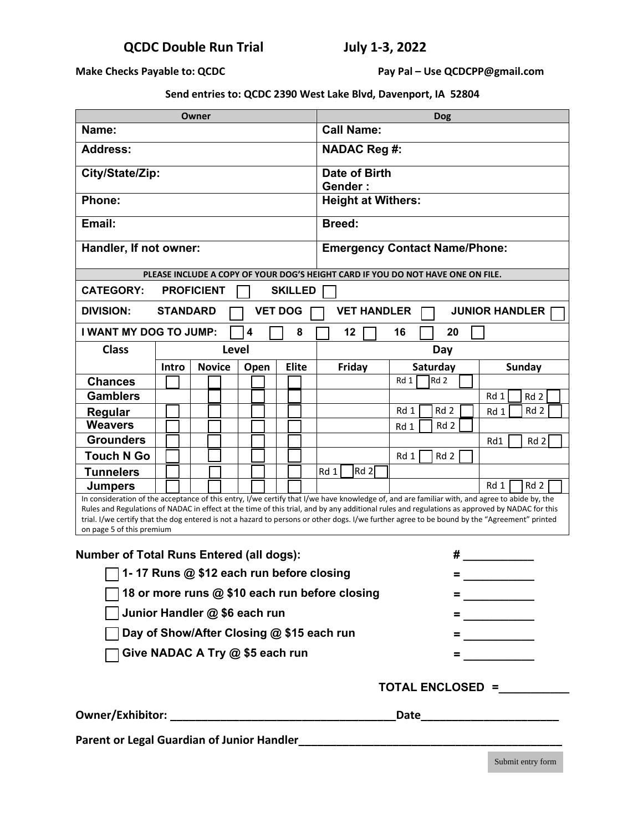**Make Checks Payable to: QCDC** Pay Pal – Use QCDCPP@gmail.com

**Send entries to: QCDC 2390 West Lake Blvd, Davenport, IA 52804**

| Owner                                                                                                                                                                                                                                                                                                                                                                                                                                                                       |       |               |      |              | <b>Dog</b>                           |                                                                                                                                                                                                                                                                                                                        |                 |                         |  |
|-----------------------------------------------------------------------------------------------------------------------------------------------------------------------------------------------------------------------------------------------------------------------------------------------------------------------------------------------------------------------------------------------------------------------------------------------------------------------------|-------|---------------|------|--------------|--------------------------------------|------------------------------------------------------------------------------------------------------------------------------------------------------------------------------------------------------------------------------------------------------------------------------------------------------------------------|-----------------|-------------------------|--|
| Name:                                                                                                                                                                                                                                                                                                                                                                                                                                                                       |       |               |      |              | <b>Call Name:</b>                    |                                                                                                                                                                                                                                                                                                                        |                 |                         |  |
| <b>Address:</b>                                                                                                                                                                                                                                                                                                                                                                                                                                                             |       |               |      |              | <b>NADAC Reg #:</b>                  |                                                                                                                                                                                                                                                                                                                        |                 |                         |  |
| City/State/Zip:                                                                                                                                                                                                                                                                                                                                                                                                                                                             |       |               |      |              | Date of Birth<br><b>Gender:</b>      |                                                                                                                                                                                                                                                                                                                        |                 |                         |  |
| Phone:                                                                                                                                                                                                                                                                                                                                                                                                                                                                      |       |               |      |              | <b>Height at Withers:</b>            |                                                                                                                                                                                                                                                                                                                        |                 |                         |  |
| Email:                                                                                                                                                                                                                                                                                                                                                                                                                                                                      |       |               |      |              | <b>Breed:</b>                        |                                                                                                                                                                                                                                                                                                                        |                 |                         |  |
| Handler, If not owner:                                                                                                                                                                                                                                                                                                                                                                                                                                                      |       |               |      |              | <b>Emergency Contact Name/Phone:</b> |                                                                                                                                                                                                                                                                                                                        |                 |                         |  |
| PLEASE INCLUDE A COPY OF YOUR DOG'S HEIGHT CARD IF YOU DO NOT HAVE ONE ON FILE.                                                                                                                                                                                                                                                                                                                                                                                             |       |               |      |              |                                      |                                                                                                                                                                                                                                                                                                                        |                 |                         |  |
| <b>CATEGORY:</b><br><b>PROFICIENT</b><br><b>SKILLED</b>                                                                                                                                                                                                                                                                                                                                                                                                                     |       |               |      |              |                                      |                                                                                                                                                                                                                                                                                                                        |                 |                         |  |
| <b>DIVISION:</b><br><b>JUNIOR HANDLER</b><br><b>STANDARD</b><br><b>VET DOG</b><br><b>VET HANDLER</b>                                                                                                                                                                                                                                                                                                                                                                        |       |               |      |              |                                      |                                                                                                                                                                                                                                                                                                                        |                 |                         |  |
| I WANT MY DOG TO JUMP:                                                                                                                                                                                                                                                                                                                                                                                                                                                      |       |               | 4    | 8            | 12                                   | 16                                                                                                                                                                                                                                                                                                                     | 20              |                         |  |
| <b>Class</b>                                                                                                                                                                                                                                                                                                                                                                                                                                                                | Level |               |      |              |                                      | Day                                                                                                                                                                                                                                                                                                                    |                 |                         |  |
|                                                                                                                                                                                                                                                                                                                                                                                                                                                                             | Intro | <b>Novice</b> | Open | <b>Elite</b> | Friday                               | Saturday                                                                                                                                                                                                                                                                                                               |                 | <b>Sunday</b>           |  |
| <b>Chances</b>                                                                                                                                                                                                                                                                                                                                                                                                                                                              |       |               |      |              |                                      | Rd 1                                                                                                                                                                                                                                                                                                                   | Rd <sub>2</sub> |                         |  |
| <b>Gamblers</b>                                                                                                                                                                                                                                                                                                                                                                                                                                                             |       |               |      |              |                                      |                                                                                                                                                                                                                                                                                                                        |                 | Rd 1<br>Rd 2            |  |
| <b>Regular</b>                                                                                                                                                                                                                                                                                                                                                                                                                                                              |       |               |      |              |                                      | Rd 1                                                                                                                                                                                                                                                                                                                   | Rd 2            | Rd <sub>2</sub><br>Rd 1 |  |
| <b>Weavers</b>                                                                                                                                                                                                                                                                                                                                                                                                                                                              |       |               |      |              |                                      | Rd 1                                                                                                                                                                                                                                                                                                                   | Rd <sub>2</sub> |                         |  |
| <b>Grounders</b>                                                                                                                                                                                                                                                                                                                                                                                                                                                            |       |               |      |              |                                      |                                                                                                                                                                                                                                                                                                                        |                 | Rd 2<br>Rd1             |  |
| <b>Touch N Go</b>                                                                                                                                                                                                                                                                                                                                                                                                                                                           |       |               |      |              |                                      | Rd 1                                                                                                                                                                                                                                                                                                                   | Rd <sub>2</sub> |                         |  |
| <b>Tunnelers</b>                                                                                                                                                                                                                                                                                                                                                                                                                                                            |       |               |      |              | Rd 2<br>Rd 1                         |                                                                                                                                                                                                                                                                                                                        |                 |                         |  |
| <b>Jumpers</b>                                                                                                                                                                                                                                                                                                                                                                                                                                                              |       |               |      |              |                                      |                                                                                                                                                                                                                                                                                                                        |                 | Rd 1<br>Rd 2            |  |
| In consideration of the acceptance of this entry, I/we certify that I/we have knowledge of, and are familiar with, and agree to abide by, the<br>Rules and Regulations of NADAC in effect at the time of this trial, and by any additional rules and regulations as approved by NADAC for this<br>trial. I/we certify that the dog entered is not a hazard to persons or other dogs. I/we further agree to be bound by the "Agreement" printed<br>on page 5 of this premium |       |               |      |              |                                      |                                                                                                                                                                                                                                                                                                                        |                 |                         |  |
| <b>Number of Total Runs Entered (all dogs):</b>                                                                                                                                                                                                                                                                                                                                                                                                                             |       |               |      |              | #                                    |                                                                                                                                                                                                                                                                                                                        |                 |                         |  |
| 1-17 Runs @ \$12 each run before closing                                                                                                                                                                                                                                                                                                                                                                                                                                    |       |               |      |              |                                      |                                                                                                                                                                                                                                                                                                                        |                 |                         |  |
| 18 or more runs @ \$10 each run before closing                                                                                                                                                                                                                                                                                                                                                                                                                              |       |               |      |              |                                      |                                                                                                                                                                                                                                                                                                                        |                 |                         |  |
| Junior Handler @ \$6 each run                                                                                                                                                                                                                                                                                                                                                                                                                                               |       |               |      |              |                                      | $=$ $\frac{1}{2}$ $\frac{1}{2}$ $\frac{1}{2}$ $\frac{1}{2}$ $\frac{1}{2}$ $\frac{1}{2}$ $\frac{1}{2}$ $\frac{1}{2}$ $\frac{1}{2}$ $\frac{1}{2}$ $\frac{1}{2}$ $\frac{1}{2}$ $\frac{1}{2}$ $\frac{1}{2}$ $\frac{1}{2}$ $\frac{1}{2}$ $\frac{1}{2}$ $\frac{1}{2}$ $\frac{1}{2}$ $\frac{1}{2}$ $\frac{1}{2}$ $\frac{1}{2$ |                 |                         |  |
| Day of Show/After Closing @ \$15 each run                                                                                                                                                                                                                                                                                                                                                                                                                                   |       |               |      |              |                                      | = ____________                                                                                                                                                                                                                                                                                                         |                 |                         |  |
| Give NADAC A Try @ \$5 each run                                                                                                                                                                                                                                                                                                                                                                                                                                             |       |               |      |              | = _________                          |                                                                                                                                                                                                                                                                                                                        |                 |                         |  |
| TOTAL ENCLOSED =                                                                                                                                                                                                                                                                                                                                                                                                                                                            |       |               |      |              |                                      |                                                                                                                                                                                                                                                                                                                        |                 |                         |  |
|                                                                                                                                                                                                                                                                                                                                                                                                                                                                             |       |               |      |              |                                      |                                                                                                                                                                                                                                                                                                                        |                 |                         |  |
|                                                                                                                                                                                                                                                                                                                                                                                                                                                                             |       |               |      |              |                                      |                                                                                                                                                                                                                                                                                                                        |                 |                         |  |

Submit entry form